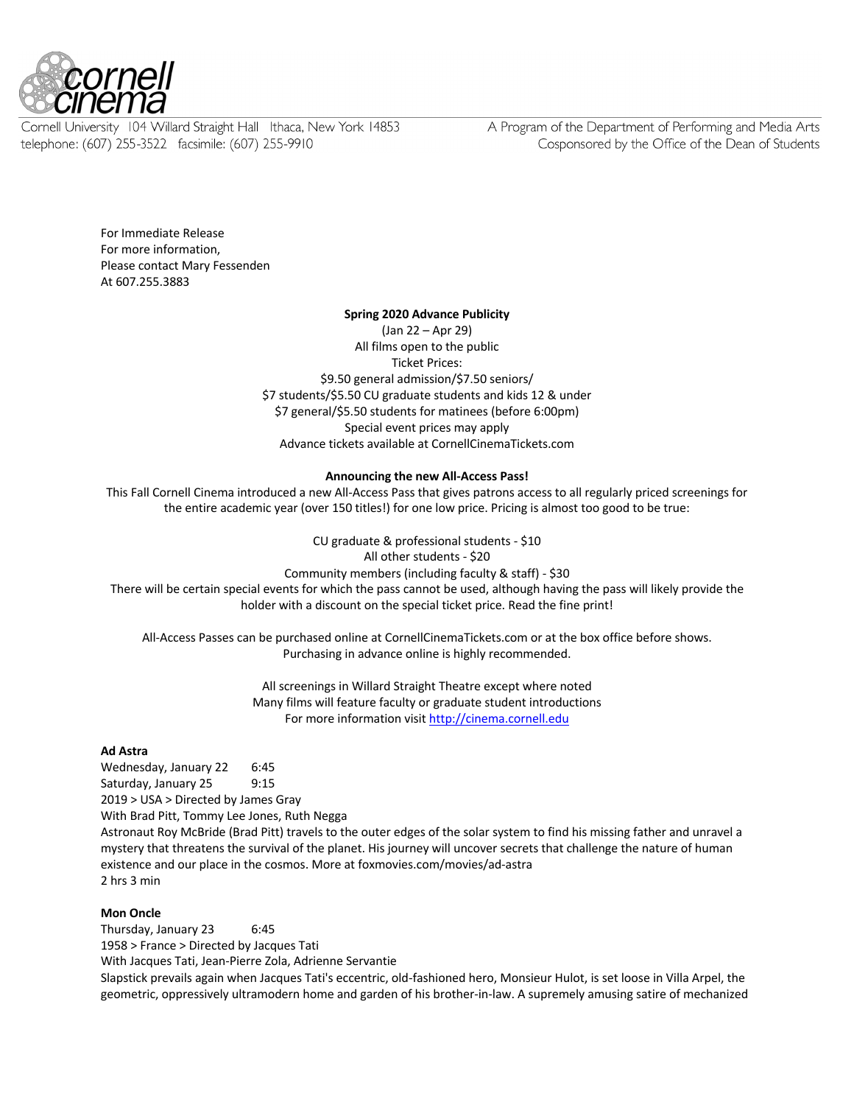

Cornell University 104 Willard Straight Hall Ithaca, New York 14853 telephone: (607) 255-3522 facsimile: (607) 255-9910

A Program of the Department of Performing and Media Arts Cosponsored by the Office of the Dean of Students

For Immediate Release For more information, Please contact Mary Fessenden At 607.255.3883

### **Spring 2020 Advance Publicity**

(Jan 22 – Apr 29) All films open to the public Ticket Prices: \$9.50 general admission/\$7.50 seniors/ \$7 students/\$5.50 CU graduate students and kids 12 & under \$7 general/\$5.50 students for matinees (before 6:00pm) Special event prices may apply Advance tickets available at CornellCinemaTickets.com

### **Announcing the new All-Access Pass!**

This Fall Cornell Cinema introduced a new All-Access Pass that gives patrons access to all regularly priced screenings for the entire academic year (over 150 titles!) for one low price. Pricing is almost too good to be true:

CU graduate & professional students - \$10 All other students - \$20 Community members (including faculty & staff) - \$30 There will be certain special events for which the pass cannot be used, although having the pass will likely provide the

holder with a discount on the special ticket price. Read the fine print!

All-Access Passes can be purchased online at CornellCinemaTickets.com or at the box office before shows. Purchasing in advance online is highly recommended.

> All screenings in Willard Straight Theatre except where noted Many films will feature faculty or graduate student introductions For more information visit http://cinema.cornell.edu

### **Ad Astra**

Wednesday, January 22 6:45 Saturday, January 25 9:15 2019 > USA > Directed by James Gray With Brad Pitt, Tommy Lee Jones, Ruth Negga

Astronaut Roy McBride (Brad Pitt) travels to the outer edges of the solar system to find his missing father and unravel a mystery that threatens the survival of the planet. His journey will uncover secrets that challenge the nature of human existence and our place in the cosmos. More at foxmovies.com/movies/ad-astra 2 hrs 3 min

# **Mon Oncle**

Thursday, January 23 6:45 1958 > France > Directed by Jacques Tati With Jacques Tati, Jean-Pierre Zola, Adrienne Servantie Slapstick prevails again when Jacques Tati's eccentric, old-fashioned hero, Monsieur Hulot, is set loose in Villa Arpel, the geometric, oppressively ultramodern home and garden of his brother-in-law. A supremely amusing satire of mechanized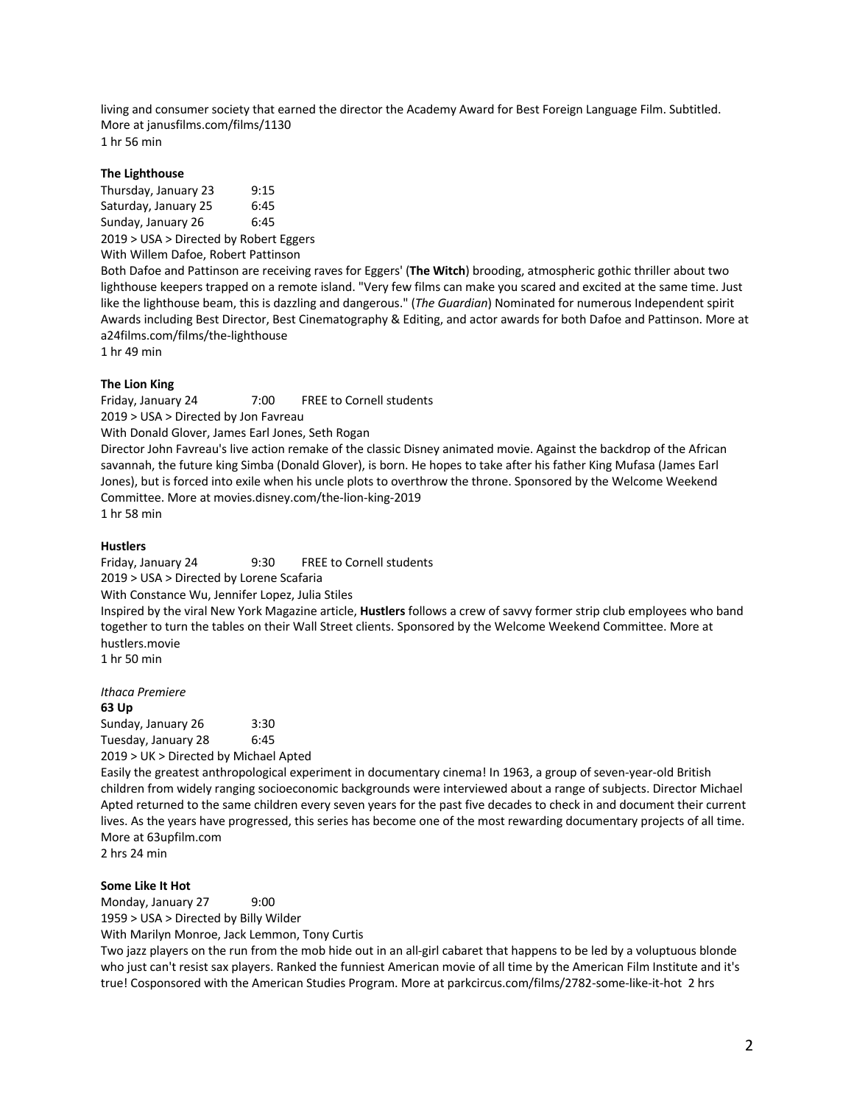living and consumer society that earned the director the Academy Award for Best Foreign Language Film. Subtitled. More at janusfilms.com/films/1130 1 hr 56 min

**The Lighthouse**

Thursday, January 23 9:15 Saturday, January 25 6:45 Sunday, January 26 6:45 2019 > USA > Directed by Robert Eggers

With Willem Dafoe, Robert Pattinson

Both Dafoe and Pattinson are receiving raves for Eggers' (**The Witch**) brooding, atmospheric gothic thriller about two lighthouse keepers trapped on a remote island. "Very few films can make you scared and excited at the same time. Just like the lighthouse beam, this is dazzling and dangerous." (*The Guardian*) Nominated for numerous Independent spirit Awards including Best Director, Best Cinematography & Editing, and actor awards for both Dafoe and Pattinson. More at a24films.com/films/the-lighthouse

1 hr 49 min

# **The Lion King**

Friday, January 24 7:00 FREE to Cornell students 2019 > USA > Directed by Jon Favreau

With Donald Glover, James Earl Jones, Seth Rogan

Director John Favreau's live action remake of the classic Disney animated movie. Against the backdrop of the African savannah, the future king Simba (Donald Glover), is born. He hopes to take after his father King Mufasa (James Earl Jones), but is forced into exile when his uncle plots to overthrow the throne. Sponsored by the Welcome Weekend Committee. More at movies.disney.com/the-lion-king-2019 1 hr 58 min

### **Hustlers**

Friday, January 24 9:30 FREE to Cornell students 2019 > USA > Directed by Lorene Scafaria With Constance Wu, Jennifer Lopez, Julia Stiles

Inspired by the viral New York Magazine article, **Hustlers** follows a crew of savvy former strip club employees who band together to turn the tables on their Wall Street clients. Sponsored by the Welcome Weekend Committee. More at hustlers.movie

1 hr 50 min

*Ithaca Premiere*

**63 Up**

Sunday, January 26 3:30 Tuesday, January 28 6:45 2019 > UK > Directed by Michael Apted

Easily the greatest anthropological experiment in documentary cinema! In 1963, a group of seven-year-old British children from widely ranging socioeconomic backgrounds were interviewed about a range of subjects. Director Michael Apted returned to the same children every seven years for the past five decades to check in and document their current lives. As the years have progressed, this series has become one of the most rewarding documentary projects of all time. More at 63upfilm.com

2 hrs 24 min

### **Some Like It Hot**

Monday, January 27 9:00 1959 > USA > Directed by Billy Wilder With Marilyn Monroe, Jack Lemmon, Tony Curtis

Two jazz players on the run from the mob hide out in an all-girl cabaret that happens to be led by a voluptuous blonde who just can't resist sax players. Ranked the funniest American movie of all time by the American Film Institute and it's true! Cosponsored with the American Studies Program. More at parkcircus.com/films/2782-some-like-it-hot 2 hrs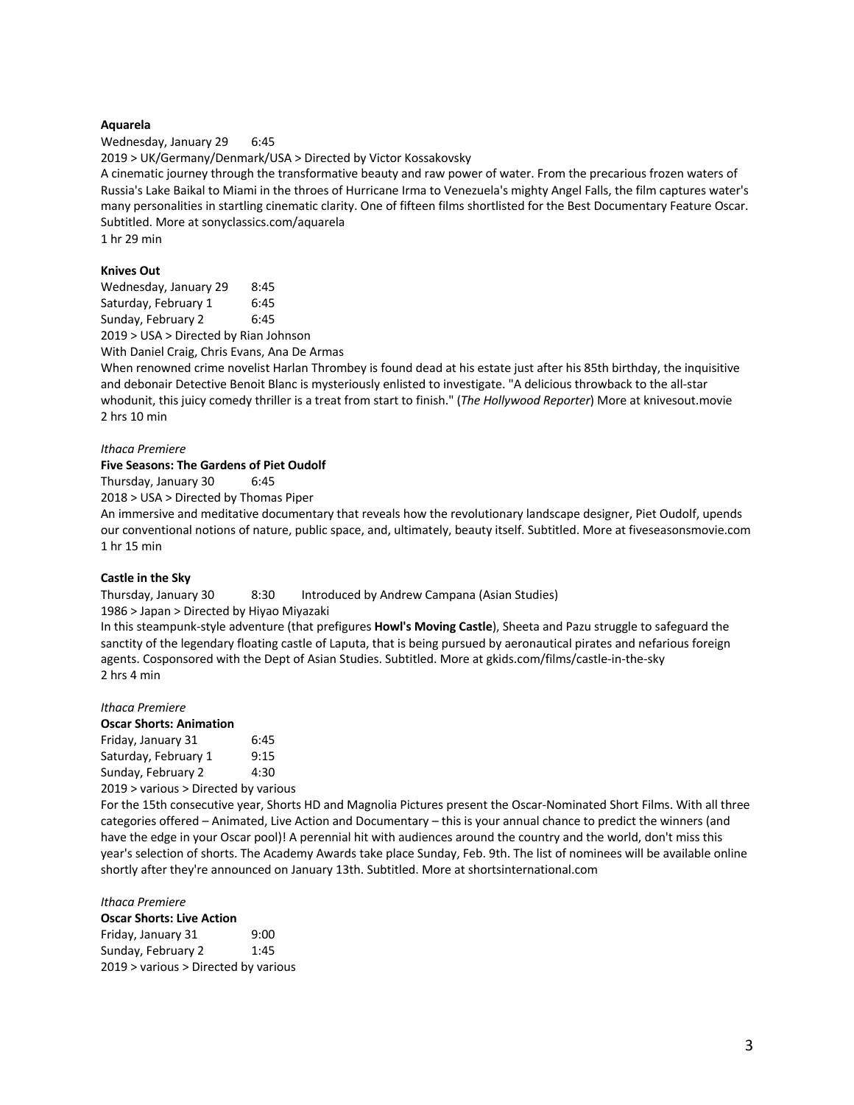### **Aquarela**

Wednesday, January 29 6:45 2019 > UK/Germany/Denmark/USA > Directed by Victor Kossakovsky A cinematic journey through the transformative beauty and raw power of water. From the precarious frozen waters of Russia's Lake Baikal to Miami in the throes of Hurricane Irma to Venezuela's mighty Angel Falls, the film captures water's many personalities in startling cinematic clarity. One of fifteen films shortlisted for the Best Documentary Feature Oscar. Subtitled. More at sonyclassics.com/aquarela 1 hr 29 min

### **Knives Out**

| Wednesday, January 29                                                        | 8:45 |
|------------------------------------------------------------------------------|------|
| Saturday, February 1                                                         | 6:45 |
| Sunday, February 2                                                           | 6:45 |
| $2040 \times 110 \text{ A} \times 204$ and $\text{A} \times 2040 \times 100$ |      |

2019 > USA > Directed by Rian Johnson With Daniel Craig, Chris Evans, Ana De Armas

When renowned crime novelist Harlan Thrombey is found dead at his estate just after his 85th birthday, the inquisitive and debonair Detective Benoit Blanc is mysteriously enlisted to investigate. "A delicious throwback to the all-star whodunit, this juicy comedy thriller is a treat from start to finish." (*The Hollywood Reporter*) More at knivesout.movie 2 hrs 10 min

#### *Ithaca Premiere*

### **Five Seasons: The Gardens of Piet Oudolf**

Thursday, January 30 6:45

2018 > USA > Directed by Thomas Piper

An immersive and meditative documentary that reveals how the revolutionary landscape designer, Piet Oudolf, upends our conventional notions of nature, public space, and, ultimately, beauty itself. Subtitled. More at fiveseasonsmovie.com 1 hr 15 min

#### **Castle in the Sky**

Thursday, January 30 8:30 Introduced by Andrew Campana (Asian Studies)

1986 > Japan > Directed by Hiyao Miyazaki

In this steampunk-style adventure (that prefigures **Howl's Moving Castle**), Sheeta and Pazu struggle to safeguard the sanctity of the legendary floating castle of Laputa, that is being pursued by aeronautical pirates and nefarious foreign agents. Cosponsored with the Dept of Asian Studies. Subtitled. More at gkids.com/films/castle-in-the-sky 2 hrs 4 min

#### *Ithaca Premiere*

#### **Oscar Shorts: Animation**

Friday, January 31 6:45 Saturday, February 1 9:15 Sunday, February 2 4:30 2019 > various > Directed by various

For the 15th consecutive year, Shorts HD and Magnolia Pictures present the Oscar-Nominated Short Films. With all three categories offered – Animated, Live Action and Documentary – this is your annual chance to predict the winners (and have the edge in your Oscar pool)! A perennial hit with audiences around the country and the world, don't miss this year's selection of shorts. The Academy Awards take place Sunday, Feb. 9th. The list of nominees will be available online shortly after they're announced on January 13th. Subtitled. More at shortsinternational.com

### *Ithaca Premiere* **Oscar Shorts: Live Action** Friday, January 31 9:00

Sunday, February 2 1:45 2019 > various > Directed by various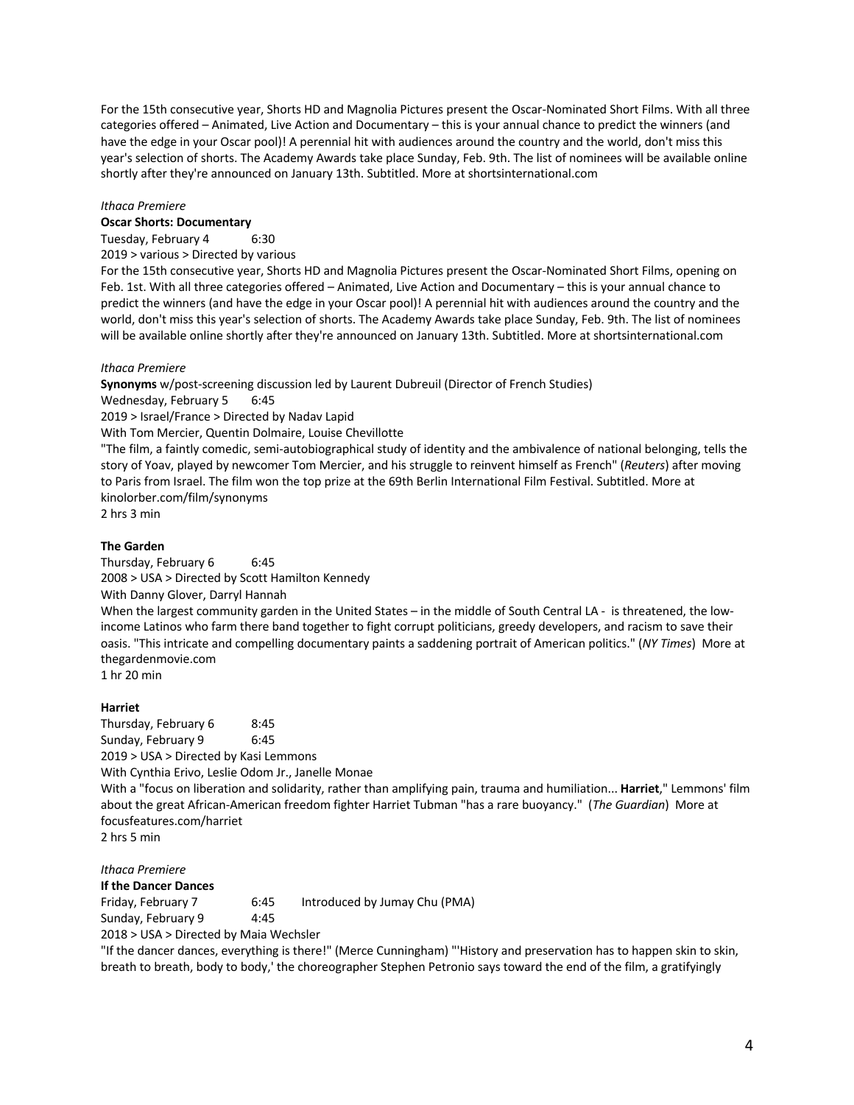For the 15th consecutive year, Shorts HD and Magnolia Pictures present the Oscar-Nominated Short Films. With all three categories offered – Animated, Live Action and Documentary – this is your annual chance to predict the winners (and have the edge in your Oscar pool)! A perennial hit with audiences around the country and the world, don't miss this year's selection of shorts. The Academy Awards take place Sunday, Feb. 9th. The list of nominees will be available online shortly after they're announced on January 13th. Subtitled. More at shortsinternational.com

### *Ithaca Premiere*

# **Oscar Shorts: Documentary**

Tuesday, February 4 6:30

2019 > various > Directed by various

For the 15th consecutive year, Shorts HD and Magnolia Pictures present the Oscar-Nominated Short Films, opening on Feb. 1st. With all three categories offered – Animated, Live Action and Documentary – this is your annual chance to predict the winners (and have the edge in your Oscar pool)! A perennial hit with audiences around the country and the world, don't miss this year's selection of shorts. The Academy Awards take place Sunday, Feb. 9th. The list of nominees will be available online shortly after they're announced on January 13th. Subtitled. More at shortsinternational.com

### *Ithaca Premiere*

**Synonyms** w/post-screening discussion led by Laurent Dubreuil (Director of French Studies)

Wednesday, February 5 6:45

2019 > Israel/France > Directed by Nadav Lapid

With Tom Mercier, Quentin Dolmaire, Louise Chevillotte

"The film, a faintly comedic, semi-autobiographical study of identity and the ambivalence of national belonging, tells the story of Yoav, played by newcomer Tom Mercier, and his struggle to reinvent himself as French" (*Reuters*) after moving to Paris from Israel. The film won the top prize at the 69th Berlin International Film Festival. Subtitled. More at kinolorber.com/film/synonyms

2 hrs 3 min

## **The Garden**

Thursday, February 6 6:45 2008 > USA > Directed by Scott Hamilton Kennedy With Danny Glover, Darryl Hannah When the largest community garden in the United States – in the middle of South Central LA - is threatened, the lowincome Latinos who farm there band together to fight corrupt politicians, greedy developers, and racism to save their oasis. "This intricate and compelling documentary paints a saddening portrait of American politics." (*NY Times*) More at thegardenmovie.com 1 hr 20 min

### **Harriet**

Thursday, February 6 8:45 Sunday, February 9 6:45 2019 > USA > Directed by Kasi Lemmons With Cynthia Erivo, Leslie Odom Jr., Janelle Monae With a "focus on liberation and solidarity, rather than amplifying pain, trauma and humiliation... **Harriet**," Lemmons' film about the great African-American freedom fighter Harriet Tubman "has a rare buoyancy." (*The Guardian*) More at focusfeatures.com/harriet 2 hrs 5 min

### *Ithaca Premiere*

**If the Dancer Dances**

Friday, February 7 6:45 Introduced by Jumay Chu (PMA) Sunday, February 9 4:45

2018 > USA > Directed by Maia Wechsler

"If the dancer dances, everything is there!" (Merce Cunningham) "'History and preservation has to happen skin to skin, breath to breath, body to body,' the choreographer Stephen Petronio says toward the end of the film, a gratifyingly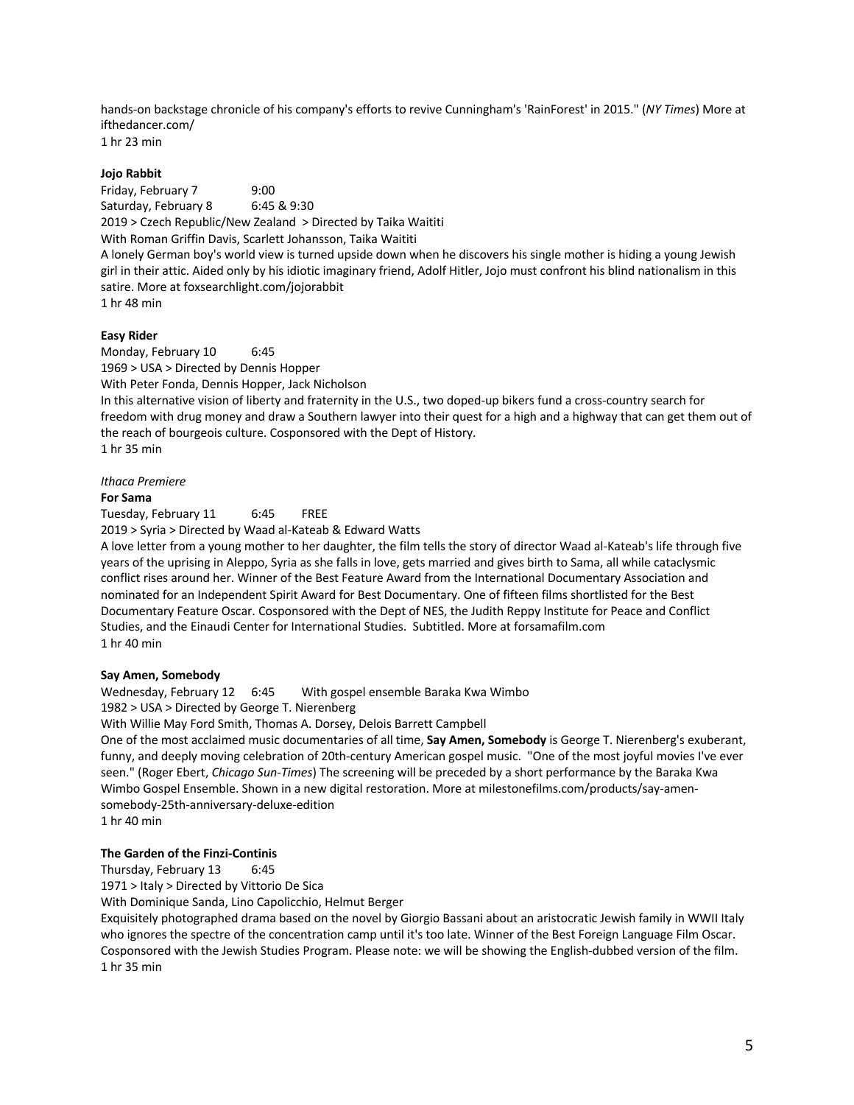hands-on backstage chronicle of his company's efforts to revive Cunningham's 'RainForest' in 2015." (*NY Times*) More at ifthedancer.com/

1 hr 23 min

# **Jojo Rabbit**

Friday, February 7 9:00 Saturday, February 8 6:45 & 9:30 2019 > Czech Republic/New Zealand > Directed by Taika Waititi With Roman Griffin Davis, Scarlett Johansson, Taika Waititi A lonely German boy's world view is turned upside down when he discovers his single mother is hiding a young Jewish girl in their attic. Aided only by his idiotic imaginary friend, Adolf Hitler, Jojo must confront his blind nationalism in this satire. More at foxsearchlight.com/jojorabbit 1 hr 48 min

# **Easy Rider**

Monday, February 10 6:45 1969 > USA > Directed by Dennis Hopper With Peter Fonda, Dennis Hopper, Jack Nicholson In this alternative vision of liberty and fraternity in the U.S., two doped-up bikers fund a cross-country search for freedom with drug money and draw a Southern lawyer into their quest for a high and a highway that can get them out of the reach of bourgeois culture. Cosponsored with the Dept of History. 1 hr 35 min

*Ithaca Premiere*

### **For Sama**

Tuesday, February 11 6:45 FREE

2019 > Syria > Directed by Waad al-Kateab & Edward Watts

A love letter from a young mother to her daughter, the film tells the story of director Waad al-Kateab's life through five years of the uprising in Aleppo, Syria as she falls in love, gets married and gives birth to Sama, all while cataclysmic conflict rises around her. Winner of the Best Feature Award from the International Documentary Association and nominated for an Independent Spirit Award for Best Documentary. One of fifteen films shortlisted for the Best Documentary Feature Oscar. Cosponsored with the Dept of NES, the Judith Reppy Institute for Peace and Conflict Studies, and the Einaudi Center for International Studies. Subtitled. More at forsamafilm.com 1 hr 40 min

### **Say Amen, Somebody**

Wednesday, February 12 6:45 With gospel ensemble Baraka Kwa Wimbo

1982 > USA > Directed by George T. Nierenberg

With Willie May Ford Smith, Thomas A. Dorsey, Delois Barrett Campbell

One of the most acclaimed music documentaries of all time, **Say Amen, Somebody** is George T. Nierenberg's exuberant, funny, and deeply moving celebration of 20th-century American gospel music. "One of the most joyful movies I've ever seen." (Roger Ebert, *Chicago Sun-Times*) The screening will be preceded by a short performance by the Baraka Kwa Wimbo Gospel Ensemble. Shown in a new digital restoration. More at milestonefilms.com/products/say-amensomebody-25th-anniversary-deluxe-edition

1 hr 40 min

# **The Garden of the Finzi-Continis**

Thursday, February 13 6:45

1971 > Italy > Directed by Vittorio De Sica

With Dominique Sanda, Lino Capolicchio, Helmut Berger

Exquisitely photographed drama based on the novel by Giorgio Bassani about an aristocratic Jewish family in WWII Italy who ignores the spectre of the concentration camp until it's too late. Winner of the Best Foreign Language Film Oscar. Cosponsored with the Jewish Studies Program. Please note: we will be showing the English-dubbed version of the film. 1 hr 35 min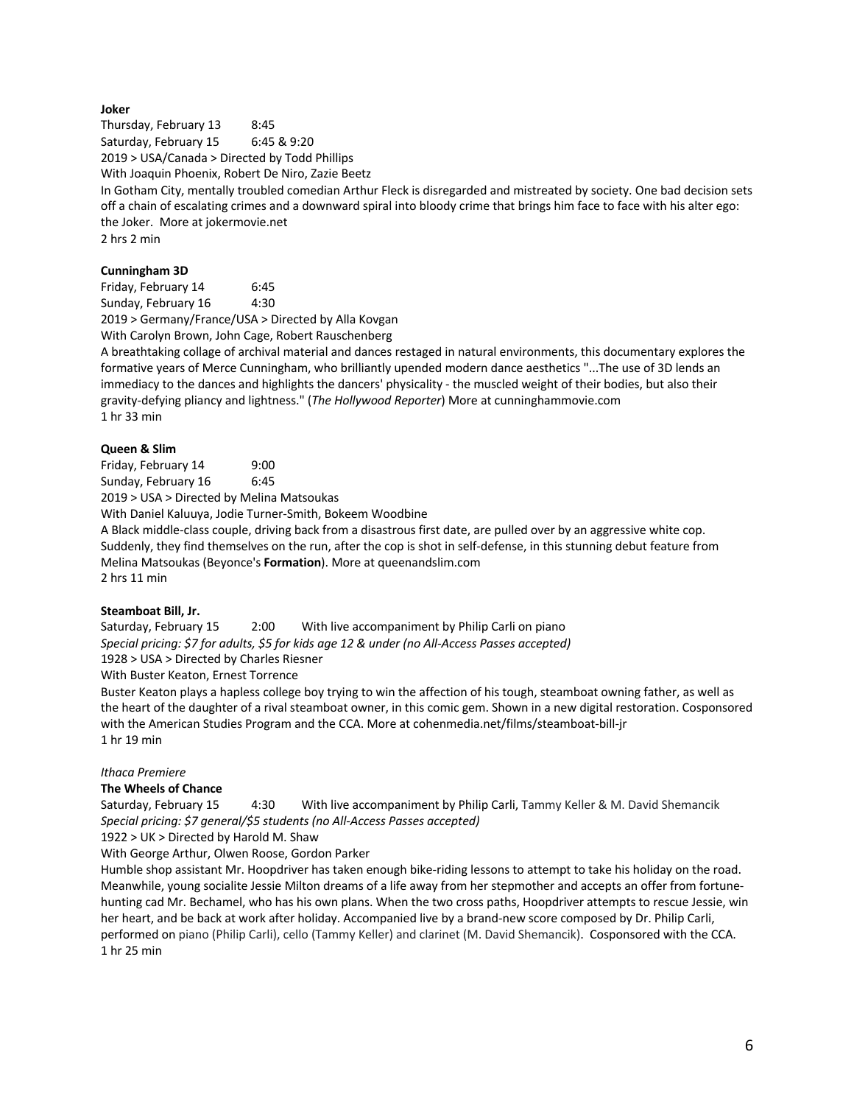# **Joker**

Thursday, February 13 8:45 Saturday, February 15 6:45 & 9:20 2019 > USA/Canada > Directed by Todd Phillips With Joaquin Phoenix, Robert De Niro, Zazie Beetz In Gotham City, mentally troubled comedian Arthur Fleck is disregarded and mistreated by society. One bad decision sets off a chain of escalating crimes and a downward spiral into bloody crime that brings him face to face with his alter ego: the Joker. More at jokermovie.net 2 hrs 2 min

# **Cunningham 3D**

Friday, February 14 6:45 Sunday, February 16 4:30 2019 > Germany/France/USA > Directed by Alla Kovgan With Carolyn Brown, John Cage, Robert Rauschenberg

A breathtaking collage of archival material and dances restaged in natural environments, this documentary explores the formative years of Merce Cunningham, who brilliantly upended modern dance aesthetics "...The use of 3D lends an immediacy to the dances and highlights the dancers' physicality - the muscled weight of their bodies, but also their gravity-defying pliancy and lightness." (*The Hollywood Reporter*) More at cunninghammovie.com 1 hr 33 min

# **Queen & Slim**

Friday, February 14 9:00 Sunday, February 16 6:45

2019 > USA > Directed by Melina Matsoukas

With Daniel Kaluuya, Jodie Turner-Smith, Bokeem Woodbine

A Black middle-class couple, driving back from a disastrous first date, are pulled over by an aggressive white cop. Suddenly, they find themselves on the run, after the cop is shot in self-defense, in this stunning debut feature from Melina Matsoukas (Beyonce's **Formation**). More at queenandslim.com 2 hrs 11 min

### **Steamboat Bill, Jr.**

Saturday, February 15 2:00 With live accompaniment by Philip Carli on piano *Special pricing: \$7 for adults, \$5 for kids age 12 & under (no All-Access Passes accepted)* 1928 > USA > Directed by Charles Riesner With Buster Keaton, Ernest Torrence

Buster Keaton plays a hapless college boy trying to win the affection of his tough, steamboat owning father, as well as the heart of the daughter of a rival steamboat owner, in this comic gem. Shown in a new digital restoration. Cosponsored with the American Studies Program and the CCA. More at cohenmedia.net/films/steamboat-bill-jr 1 hr 19 min

### *Ithaca Premiere*

### **The Wheels of Chance**

Saturday, February 15 4:30 With live accompaniment by Philip Carli, Tammy Keller & M. David Shemancik *Special pricing: \$7 general/\$5 students (no All-Access Passes accepted)*

1922 > UK > Directed by Harold M. Shaw

With George Arthur, Olwen Roose, Gordon Parker

Humble shop assistant Mr. Hoopdriver has taken enough bike-riding lessons to attempt to take his holiday on the road. Meanwhile, young socialite Jessie Milton dreams of a life away from her stepmother and accepts an offer from fortunehunting cad Mr. Bechamel, who has his own plans. When the two cross paths, Hoopdriver attempts to rescue Jessie, win her heart, and be back at work after holiday. Accompanied live by a brand-new score composed by Dr. Philip Carli, performed on piano (Philip Carli), cello (Tammy Keller) and clarinet (M. David Shemancik). Cosponsored with the CCA. 1 hr 25 min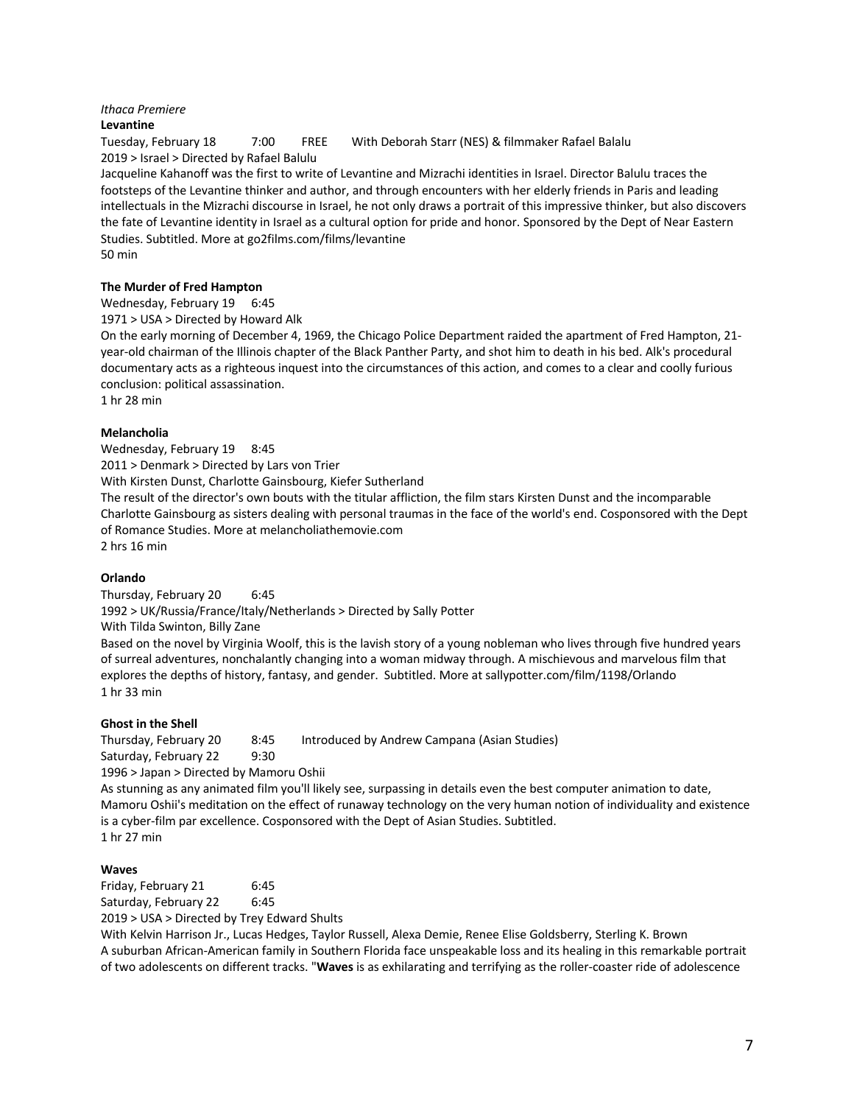# *Ithaca Premiere*

### **Levantine**

2019 > Israel > Directed by Rafael Balulu

Tuesday, February 18 7:00 FREE With Deborah Starr (NES) & filmmaker Rafael Balalu

Jacqueline Kahanoff was the first to write of Levantine and Mizrachi identities in Israel. Director Balulu traces the footsteps of the Levantine thinker and author, and through encounters with her elderly friends in Paris and leading intellectuals in the Mizrachi discourse in Israel, he not only draws a portrait of this impressive thinker, but also discovers the fate of Levantine identity in Israel as a cultural option for pride and honor. Sponsored by the Dept of Near Eastern Studies. Subtitled. More at go2films.com/films/levantine 50 min

### **The Murder of Fred Hampton**

Wednesday, February 19 6:45

1971 > USA > Directed by Howard Alk

On the early morning of December 4, 1969, the Chicago Police Department raided the apartment of Fred Hampton, 21 year-old chairman of the Illinois chapter of the Black Panther Party, and shot him to death in his bed. Alk's procedural documentary acts as a righteous inquest into the circumstances of this action, and comes to a clear and coolly furious conclusion: political assassination.

1 hr 28 min

### **Melancholia**

Wednesday, February 19 8:45

2011 > Denmark > Directed by Lars von Trier

With Kirsten Dunst, Charlotte Gainsbourg, Kiefer Sutherland

The result of the director's own bouts with the titular affliction, the film stars Kirsten Dunst and the incomparable Charlotte Gainsbourg as sisters dealing with personal traumas in the face of the world's end. Cosponsored with the Dept of Romance Studies. More at melancholiathemovie.com

2 hrs 16 min

### **Orlando**

Thursday, February 20 6:45 1992 > UK/Russia/France/Italy/Netherlands > Directed by Sally Potter With Tilda Swinton, Billy Zane

Based on the novel by Virginia Woolf, this is the lavish story of a young nobleman who lives through five hundred years of surreal adventures, nonchalantly changing into a woman midway through. A mischievous and marvelous film that explores the depths of history, fantasy, and gender. Subtitled. More at sallypotter.com/film/1198/Orlando 1 hr 33 min

### **Ghost in the Shell**

Thursday, February 20 8:45 Introduced by Andrew Campana (Asian Studies)

Saturday, February 22 9:30

1996 > Japan > Directed by Mamoru Oshii

As stunning as any animated film you'll likely see, surpassing in details even the best computer animation to date, Mamoru Oshii's meditation on the effect of runaway technology on the very human notion of individuality and existence is a cyber-film par excellence. Cosponsored with the Dept of Asian Studies. Subtitled. 1 hr 27 min

#### **Waves**

Friday, February 21 6:45 Saturday, February 22 6:45

2019 > USA > Directed by Trey Edward Shults

With Kelvin Harrison Jr., Lucas Hedges, Taylor Russell, Alexa Demie, Renee Elise Goldsberry, Sterling K. Brown A suburban African-American family in Southern Florida face unspeakable loss and its healing in this remarkable portrait of two adolescents on different tracks. "**Waves** is as exhilarating and terrifying as the roller-coaster ride of adolescence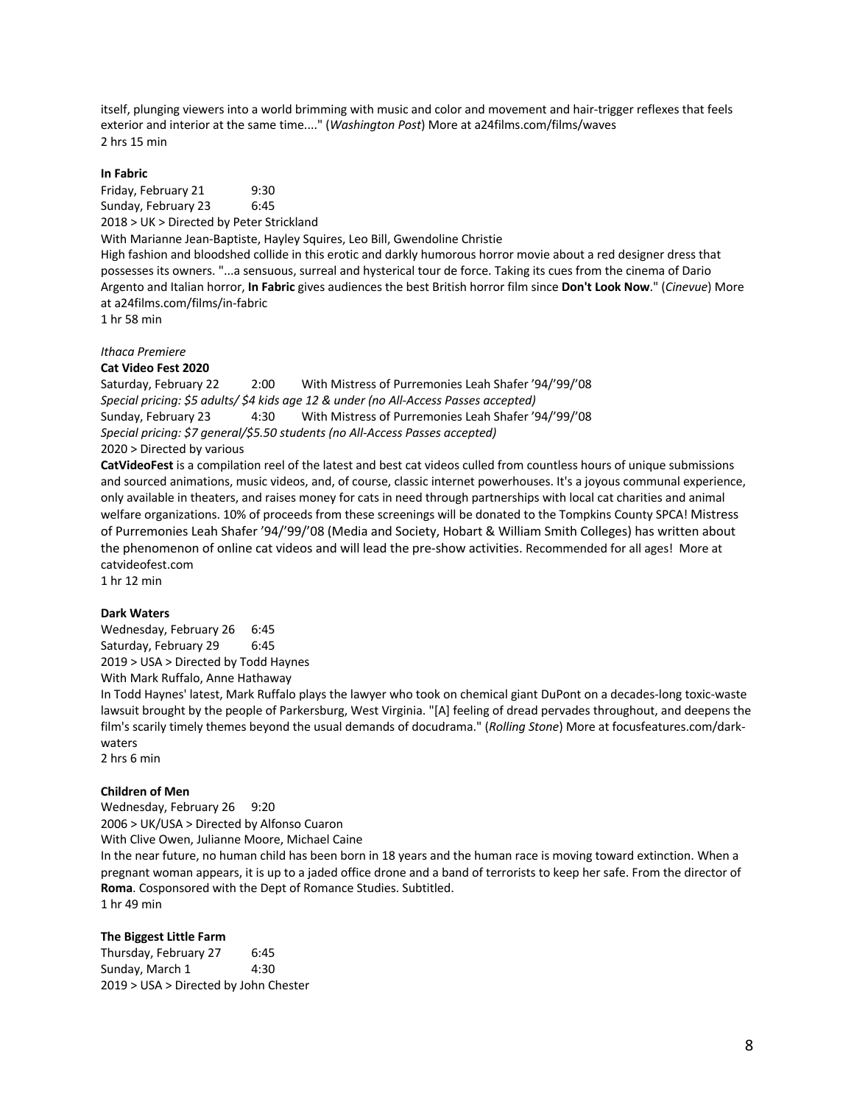itself, plunging viewers into a world brimming with music and color and movement and hair-trigger reflexes that feels exterior and interior at the same time...." (*Washington Post*) More at a24films.com/films/waves 2 hrs 15 min

### **In Fabric**

Friday, February 21 9:30 Sunday, February 23 6:45 2018 > UK > Directed by Peter Strickland With Marianne Jean-Baptiste, Hayley Squires, Leo Bill, Gwendoline Christie High fashion and bloodshed collide in this erotic and darkly humorous horror movie about a red designer dress that possesses its owners. "...a sensuous, surreal and hysterical tour de force. Taking its cues from the cinema of Dario Argento and Italian horror, **In Fabric** gives audiences the best British horror film since **Don't Look Now**." (*Cinevue*) More at a24films.com/films/in-fabric 1 hr 58 min

*Ithaca Premiere*

### **Cat Video Fest 2020**

Saturday, February 22 2:00 With Mistress of Purremonies Leah Shafer '94/'99/'08 *Special pricing: \$5 adults/ \$4 kids age 12 & under (no All-Access Passes accepted)* Sunday, February 23 4:30 With Mistress of Purremonies Leah Shafer '94/'99/'08 *Special pricing: \$7 general/\$5.50 students (no All-Access Passes accepted)* 2020 > Directed by various

**CatVideoFest** is a compilation reel of the latest and best cat videos culled from countless hours of unique submissions and sourced animations, music videos, and, of course, classic internet powerhouses. It's a joyous communal experience, only available in theaters, and raises money for cats in need through partnerships with local cat charities and animal welfare organizations. 10% of proceeds from these screenings will be donated to the Tompkins County SPCA! Mistress of Purremonies Leah Shafer '94/'99/'08 (Media and Society, Hobart & William Smith Colleges) has written about the phenomenon of online cat videos and will lead the pre-show activities. Recommended for all ages! More at catvideofest.com

1 hr 12 min

### **Dark Waters**

Wednesday, February 26 6:45 Saturday, February 29 6:45 2019 > USA > Directed by Todd Haynes With Mark Ruffalo, Anne Hathaway

In Todd Haynes' latest, Mark Ruffalo plays the lawyer who took on chemical giant DuPont on a decades-long toxic-waste lawsuit brought by the people of Parkersburg, West Virginia. "[A] feeling of dread pervades throughout, and deepens the film's scarily timely themes beyond the usual demands of docudrama." (*Rolling Stone*) More at focusfeatures.com/darkwaters

2 hrs 6 min

## **Children of Men**

Wednesday, February 26 9:20 2006 > UK/USA > Directed by Alfonso Cuaron With Clive Owen, Julianne Moore, Michael Caine In the near future, no human child has been born in 18 years and the human race is moving toward extinction. When a pregnant woman appears, it is up to a jaded office drone and a band of terrorists to keep her safe. From the director of **Roma**. Cosponsored with the Dept of Romance Studies. Subtitled. 1 hr 49 min

### **The Biggest Little Farm**

Thursday, February 27 6:45 Sunday, March 1 4:30 2019 > USA > Directed by John Chester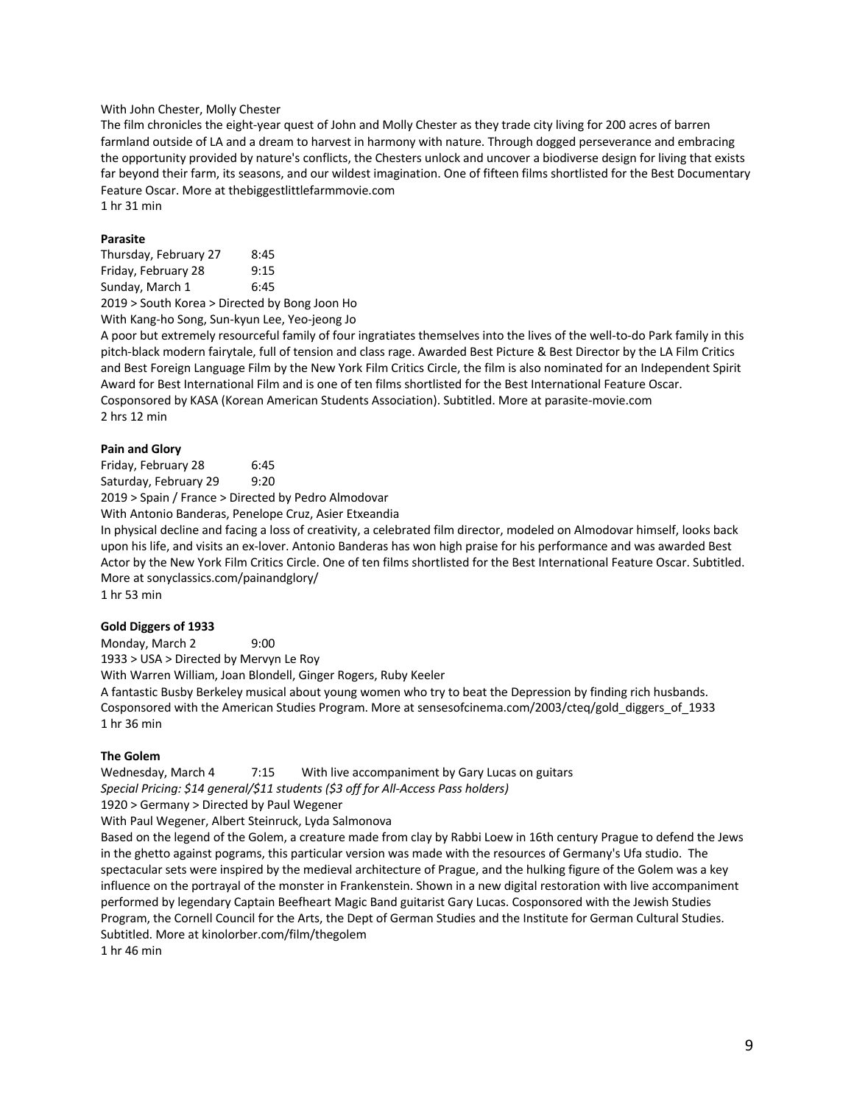### With John Chester, Molly Chester

The film chronicles the eight-year quest of John and Molly Chester as they trade city living for 200 acres of barren farmland outside of LA and a dream to harvest in harmony with nature. Through dogged perseverance and embracing the opportunity provided by nature's conflicts, the Chesters unlock and uncover a biodiverse design for living that exists far beyond their farm, its seasons, and our wildest imagination. One of fifteen films shortlisted for the Best Documentary Feature Oscar. More at thebiggestlittlefarmmovie.com 1 hr 31 min

**Parasite**

| Thursday, February 27 | 8:45                                          |
|-----------------------|-----------------------------------------------|
| Friday, February 28   | 9:15                                          |
| Sunday, March 1       | 6:45                                          |
|                       | 2019 > South Korea > Directed by Bong Joon Ho |

With Kang-ho Song, Sun-kyun Lee, Yeo-jeong Jo

A poor but extremely resourceful family of four ingratiates themselves into the lives of the well-to-do Park family in this pitch-black modern fairytale, full of tension and class rage. Awarded Best Picture & Best Director by the LA Film Critics and Best Foreign Language Film by the New York Film Critics Circle, the film is also nominated for an Independent Spirit Award for Best International Film and is one of ten films shortlisted for the Best International Feature Oscar. Cosponsored by KASA (Korean American Students Association). Subtitled. More at parasite-movie.com 2 hrs 12 min

### **Pain and Glory**

Friday, February 28 6:45 Saturday, February 29 9:20 2019 > Spain / France > Directed by Pedro Almodovar With Antonio Banderas, Penelope Cruz, Asier Etxeandia In physical decline and facing a loss of creativity, a celebrated film director, modeled on Almodovar himself, looks back

upon his life, and visits an ex-lover. Antonio Banderas has won high praise for his performance and was awarded Best Actor by the New York Film Critics Circle. One of ten films shortlisted for the Best International Feature Oscar. Subtitled. More at sonyclassics.com/painandglory/ 1 hr 53 min

#### **Gold Diggers of 1933**

Monday, March 2 9:00 1933 > USA > Directed by Mervyn Le Roy With Warren William, Joan Blondell, Ginger Rogers, Ruby Keeler A fantastic Busby Berkeley musical about young women who try to beat the Depression by finding rich husbands. Cosponsored with the American Studies Program. More at sensesofcinema.com/2003/cteq/gold\_diggers\_of\_1933 1 hr 36 min

### **The Golem**

Wednesday, March 4 7:15 With live accompaniment by Gary Lucas on guitars *Special Pricing: \$14 general/\$11 students (\$3 off for All-Access Pass holders)*  1920 > Germany > Directed by Paul Wegener With Paul Wegener, Albert Steinruck, Lyda Salmonova

Based on the legend of the Golem, a creature made from clay by Rabbi Loew in 16th century Prague to defend the Jews in the ghetto against pograms, this particular version was made with the resources of Germany's Ufa studio. The spectacular sets were inspired by the medieval architecture of Prague, and the hulking figure of the Golem was a key influence on the portrayal of the monster in Frankenstein. Shown in a new digital restoration with live accompaniment performed by legendary Captain Beefheart Magic Band guitarist Gary Lucas. Cosponsored with the Jewish Studies Program, the Cornell Council for the Arts, the Dept of German Studies and the Institute for German Cultural Studies. Subtitled. More at kinolorber.com/film/thegolem

1 hr 46 min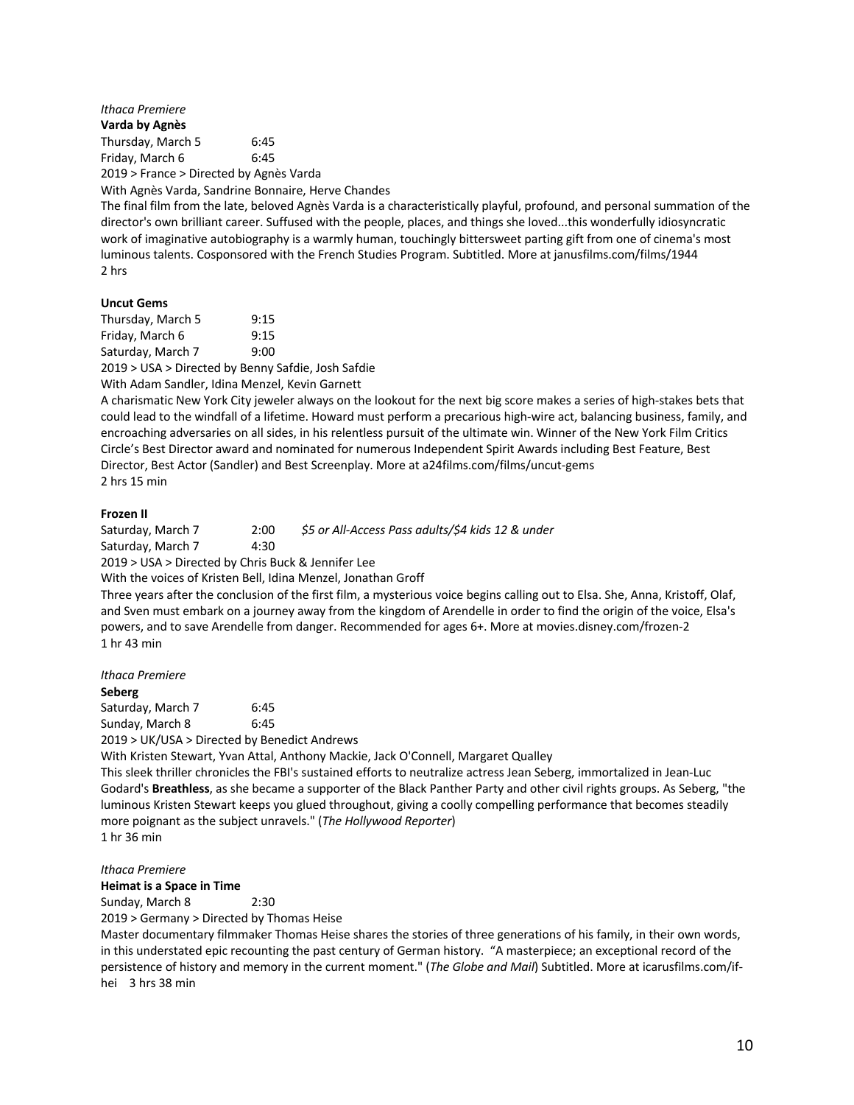*Ithaca Premiere*

**Varda by Agnès** Thursday, March 5 6:45 Friday, March 6 6:45

2019 > France > Directed by Agnès Varda

With Agnès Varda, Sandrine Bonnaire, Herve Chandes

The final film from the late, beloved Agnès Varda is a characteristically playful, profound, and personal summation of the director's own brilliant career. Suffused with the people, places, and things she loved...this wonderfully idiosyncratic work of imaginative autobiography is a warmly human, touchingly bittersweet parting gift from one of cinema's most luminous talents. Cosponsored with the French Studies Program. Subtitled. More at janusfilms.com/films/1944 2 hrs

### **Uncut Gems**

Thursday, March 5 9:15 Friday, March 6 9:15 Saturday, March 7 9:00

2019 > USA > Directed by Benny Safdie, Josh Safdie With Adam Sandler, Idina Menzel, Kevin Garnett

A charismatic New York City jeweler always on the lookout for the next big score makes a series of high-stakes bets that could lead to the windfall of a lifetime. Howard must perform a precarious high-wire act, balancing business, family, and encroaching adversaries on all sides, in his relentless pursuit of the ultimate win. Winner of the New York Film Critics Circle's Best Director award and nominated for numerous Independent Spirit Awards including Best Feature, Best Director, Best Actor (Sandler) and Best Screenplay. More at a24films.com/films/uncut-gems 2 hrs 15 min

### **Frozen II**

Saturday, March 7 2:00 *\$5 or All-Access Pass adults/\$4 kids 12 & under*  Saturday, March 7 4:30 2019 > USA > Directed by Chris Buck & Jennifer Lee

With the voices of Kristen Bell, Idina Menzel, Jonathan Groff

Three years after the conclusion of the first film, a mysterious voice begins calling out to Elsa. She, Anna, Kristoff, Olaf, and Sven must embark on a journey away from the kingdom of Arendelle in order to find the origin of the voice, Elsa's powers, and to save Arendelle from danger. Recommended for ages 6+. More at movies.disney.com/frozen-2 1 hr 43 min

*Ithaca Premiere*

#### **Seberg**

Saturday, March 7 6:45 Sunday, March 8 6:45 2019 > UK/USA > Directed by Benedict Andrews

With Kristen Stewart, Yvan Attal, Anthony Mackie, Jack O'Connell, Margaret Qualley

This sleek thriller chronicles the FBI's sustained efforts to neutralize actress Jean Seberg, immortalized in Jean-Luc Godard's **Breathless**, as she became a supporter of the Black Panther Party and other civil rights groups. As Seberg, "the luminous Kristen Stewart keeps you glued throughout, giving a coolly compelling performance that becomes steadily more poignant as the subject unravels." (*The Hollywood Reporter*) 1 hr 36 min

#### *Ithaca Premiere*

**Heimat is a Space in Time**

Sunday, March 8 2:30

2019 > Germany > Directed by Thomas Heise

Master documentary filmmaker Thomas Heise shares the stories of three generations of his family, in their own words, in this understated epic recounting the past century of German history. "A masterpiece; an exceptional record of the persistence of history and memory in the current moment." (*The Globe and Mail*) Subtitled. More at icarusfilms.com/ifhei 3 hrs 38 min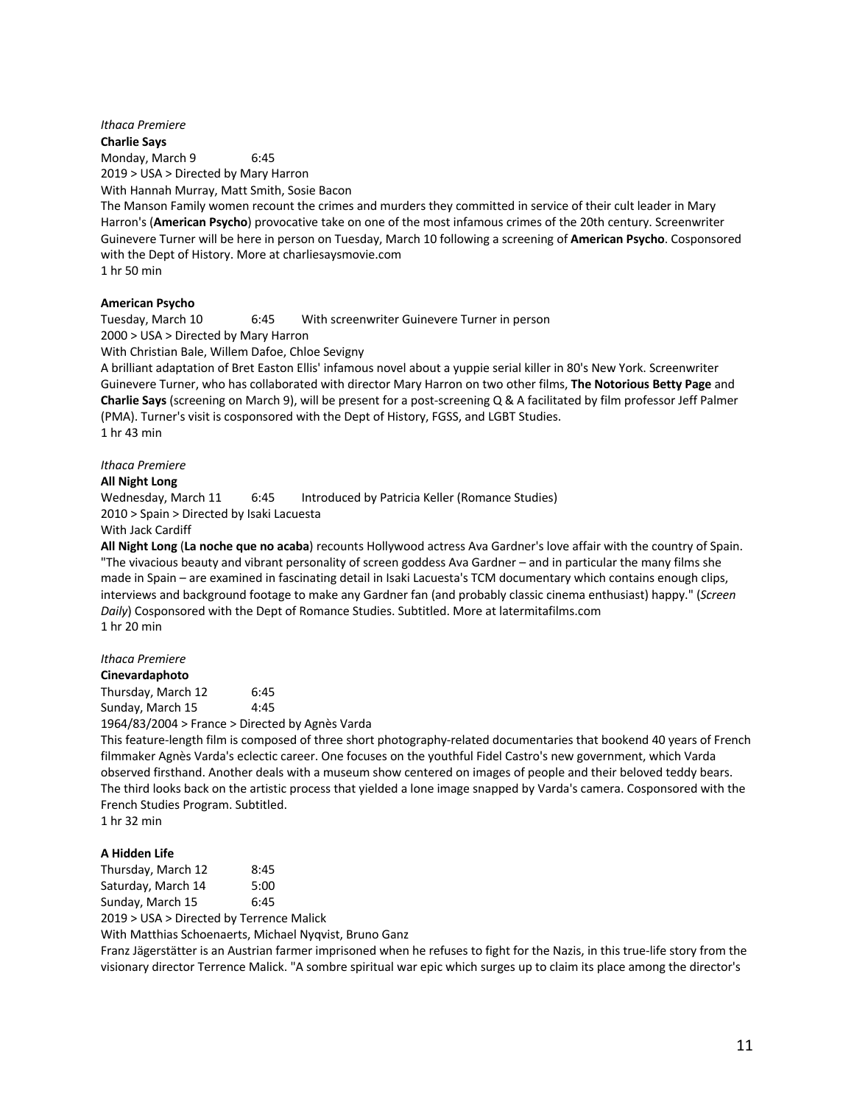# *Ithaca Premiere* **Charlie Says** Monday, March 9 6:45 2019 > USA > Directed by Mary Harron With Hannah Murray, Matt Smith, Sosie Bacon

The Manson Family women recount the crimes and murders they committed in service of their cult leader in Mary Harron's (**American Psycho**) provocative take on one of the most infamous crimes of the 20th century. Screenwriter Guinevere Turner will be here in person on Tuesday, March 10 following a screening of **American Psycho**. Cosponsored with the Dept of History. More at charliesaysmovie.com 1 hr 50 min

### **American Psycho**

Tuesday, March 10 6:45 With screenwriter Guinevere Turner in person

2000 > USA > Directed by Mary Harron

With Christian Bale, Willem Dafoe, Chloe Sevigny

A brilliant adaptation of Bret Easton Ellis' infamous novel about a yuppie serial killer in 80's New York. Screenwriter Guinevere Turner, who has collaborated with director Mary Harron on two other films, **The Notorious Betty Page** and **Charlie Says** (screening on March 9), will be present for a post-screening Q & A facilitated by film professor Jeff Palmer (PMA). Turner's visit is cosponsored with the Dept of History, FGSS, and LGBT Studies. 1 hr 43 min

*Ithaca Premiere*

### **All Night Long**

Wednesday, March 11 6:45 Introduced by Patricia Keller (Romance Studies) 2010 > Spain > Directed by Isaki Lacuesta

# With Jack Cardiff

**All Night Long** (**La noche que no acaba**) recounts Hollywood actress Ava Gardner's love affair with the country of Spain. "The vivacious beauty and vibrant personality of screen goddess Ava Gardner – and in particular the many films she made in Spain – are examined in fascinating detail in Isaki Lacuesta's TCM documentary which contains enough clips, interviews and background footage to make any Gardner fan (and probably classic cinema enthusiast) happy." (*Screen Daily*) Cosponsored with the Dept of Romance Studies. Subtitled. More at latermitafilms.com 1 hr 20 min

#### *Ithaca Premiere*

**Cinevardaphoto** Thursday, March 12 6:45

Sunday, March 15 4:45

1964/83/2004 > France > Directed by Agnès Varda

This feature-length film is composed of three short photography-related documentaries that bookend 40 years of French filmmaker Agnès Varda's eclectic career. One focuses on the youthful Fidel Castro's new government, which Varda observed firsthand. Another deals with a museum show centered on images of people and their beloved teddy bears. The third looks back on the artistic process that yielded a lone image snapped by Varda's camera. Cosponsored with the French Studies Program. Subtitled.

1 hr 32 min

#### **A Hidden Life**

| Thursday, March 12 | 8:45 |
|--------------------|------|
| Saturday, March 14 | 5:00 |
| Sunday, March 15   | 6:45 |
|                    |      |

2019 > USA > Directed by Terrence Malick

With Matthias Schoenaerts, Michael Nyqvist, Bruno Ganz

Franz Jägerstätter is an Austrian farmer imprisoned when he refuses to fight for the Nazis, in this true-life story from the visionary director Terrence Malick. "A sombre spiritual war epic which surges up to claim its place among the director's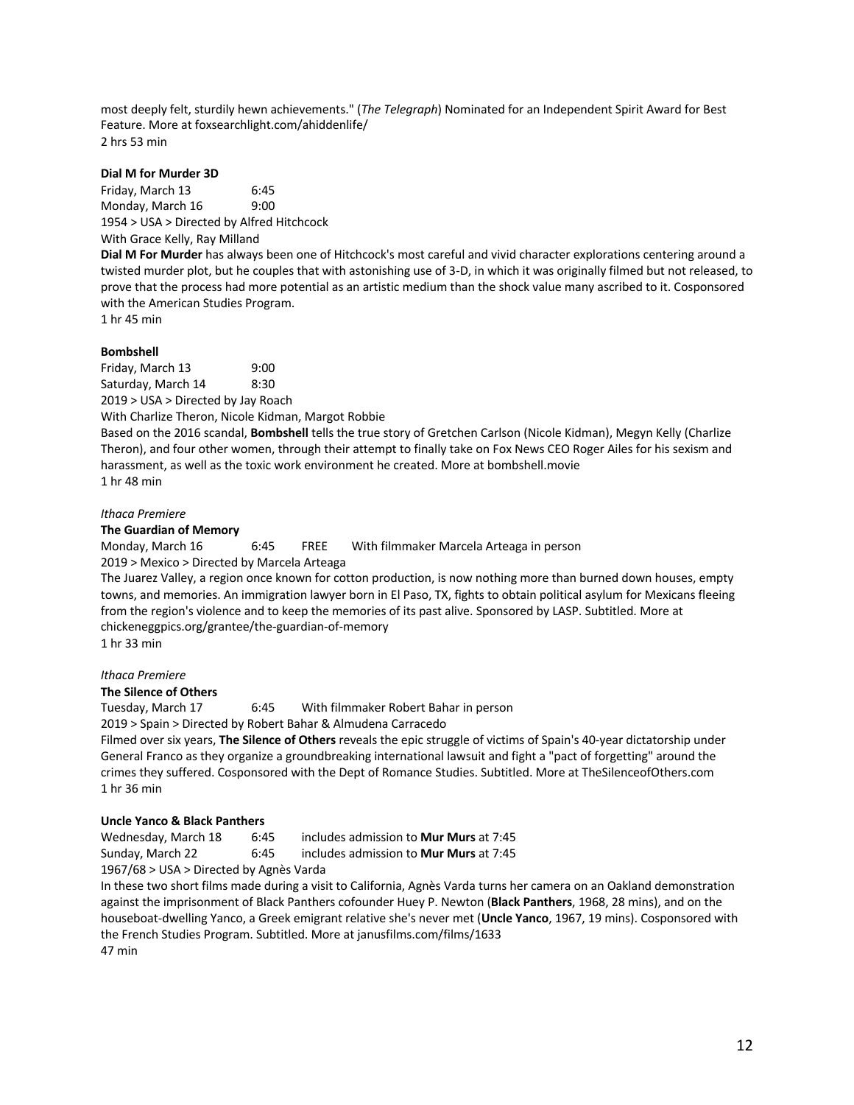most deeply felt, sturdily hewn achievements." (*The Telegraph*) Nominated for an Independent Spirit Award for Best Feature. More at foxsearchlight.com/ahiddenlife/ 2 hrs 53 min

### **Dial M for Murder 3D**

Friday, March 13 6:45 Monday, March 16 9:00 1954 > USA > Directed by Alfred Hitchcock With Grace Kelly, Ray Milland

**Dial M For Murder** has always been one of Hitchcock's most careful and vivid character explorations centering around a twisted murder plot, but he couples that with astonishing use of 3-D, in which it was originally filmed but not released, to prove that the process had more potential as an artistic medium than the shock value many ascribed to it. Cosponsored with the American Studies Program.

1 hr 45 min

### **Bombshell**

Friday, March 13 9:00 Saturday, March 14 8:30 2019 > USA > Directed by Jay Roach

With Charlize Theron, Nicole Kidman, Margot Robbie

Based on the 2016 scandal, **Bombshell** tells the true story of Gretchen Carlson (Nicole Kidman), Megyn Kelly (Charlize Theron), and four other women, through their attempt to finally take on Fox News CEO Roger Ailes for his sexism and harassment, as well as the toxic work environment he created. More at bombshell.movie 1 hr 48 min

# *Ithaca Premiere*

### **The Guardian of Memory**

Monday, March 16 6:45 FREE With filmmaker Marcela Arteaga in person 2019 > Mexico > Directed by Marcela Arteaga

The Juarez Valley, a region once known for cotton production, is now nothing more than burned down houses, empty towns, and memories. An immigration lawyer born in El Paso, TX, fights to obtain political asylum for Mexicans fleeing from the region's violence and to keep the memories of its past alive. Sponsored by LASP. Subtitled. More at chickeneggpics.org/grantee/the-guardian-of-memory 1 hr 33 min

*Ithaca Premiere*

### **The Silence of Others**

Tuesday, March 17 6:45 With filmmaker Robert Bahar in person

2019 > Spain > Directed by Robert Bahar & Almudena Carracedo

Filmed over six years, **The Silence of Others** reveals the epic struggle of victims of Spain's 40-year dictatorship under General Franco as they organize a groundbreaking international lawsuit and fight a "pact of forgetting" around the crimes they suffered. Cosponsored with the Dept of Romance Studies. Subtitled. More at TheSilenceofOthers.com 1 hr 36 min

### **Uncle Yanco & Black Panthers**

Wednesday, March 18 6:45 includes admission to **Mur Murs** at 7:45 Sunday, March 22 6:45 includes admission to **Mur Murs** at 7:45 1967/68 > USA > Directed by Agnès Varda

In these two short films made during a visit to California, Agnès Varda turns her camera on an Oakland demonstration against the imprisonment of Black Panthers cofounder Huey P. Newton (**Black Panthers**, 1968, 28 mins), and on the houseboat-dwelling Yanco, a Greek emigrant relative she's never met (**Uncle Yanco**, 1967, 19 mins). Cosponsored with the French Studies Program. Subtitled. More at janusfilms.com/films/1633

47 min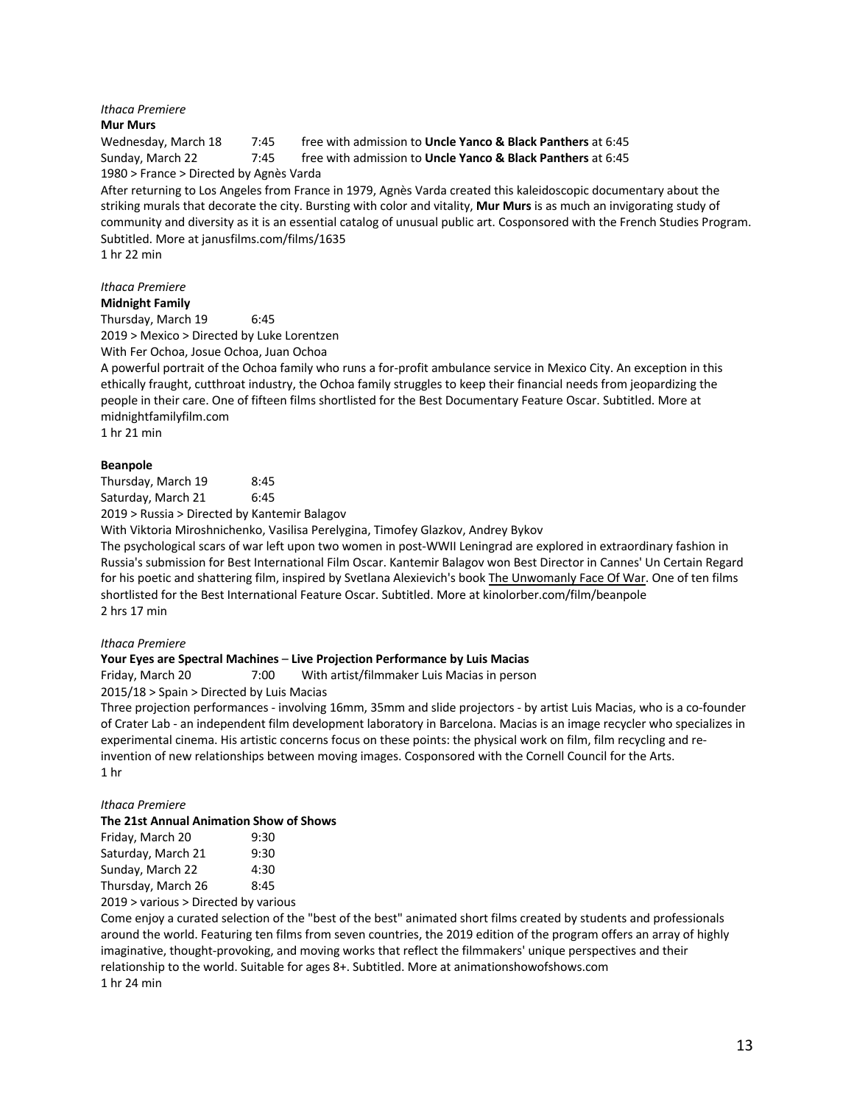# *Ithaca Premiere*

### **Mur Murs**

Wednesday, March 18 7:45 free with admission to **Uncle Yanco & Black Panthers** at 6:45 Sunday, March 22 7:45 free with admission to **Uncle Yanco & Black Panthers** at 6:45 1980 > France > Directed by Agnès Varda

After returning to Los Angeles from France in 1979, Agnès Varda created this kaleidoscopic documentary about the striking murals that decorate the city. Bursting with color and vitality, **Mur Murs** is as much an invigorating study of community and diversity as it is an essential catalog of unusual public art. Cosponsored with the French Studies Program. Subtitled. More at janusfilms.com/films/1635

1 hr 22 min

### *Ithaca Premiere* **Midnight Family**

Thursday, March 19 6:45

2019 > Mexico > Directed by Luke Lorentzen

With Fer Ochoa, Josue Ochoa, Juan Ochoa

A powerful portrait of the Ochoa family who runs a for-profit ambulance service in Mexico City. An exception in this ethically fraught, cutthroat industry, the Ochoa family struggles to keep their financial needs from jeopardizing the people in their care. One of fifteen films shortlisted for the Best Documentary Feature Oscar. Subtitled. More at midnightfamilyfilm.com

1 hr 21 min

### **Beanpole**

Thursday, March 19 8:45 Saturday, March 21 6:45

2019 > Russia > Directed by Kantemir Balagov

With Viktoria Miroshnichenko, Vasilisa Perelygina, Timofey Glazkov, Andrey Bykov

The psychological scars of war left upon two women in post-WWII Leningrad are explored in extraordinary fashion in Russia's submission for Best International Film Oscar. Kantemir Balagov won Best Director in Cannes' Un Certain Regard for his poetic and shattering film, inspired by Svetlana Alexievich's book The Unwomanly Face Of War. One of ten films shortlisted for the Best International Feature Oscar. Subtitled. More at kinolorber.com/film/beanpole 2 hrs 17 min

### *Ithaca Premiere*

### **Your Eyes are Spectral Machines** – **Live Projection Performance by Luis Macias**

Friday, March 20 7:00 With artist/filmmaker Luis Macias in person

2015/18 > Spain > Directed by Luis Macias

Three projection performances - involving 16mm, 35mm and slide projectors - by artist Luis Macias, who is a co-founder of Crater Lab - an independent film development laboratory in Barcelona. Macias is an image recycler who specializes in experimental cinema. His artistic concerns focus on these points: the physical work on film, film recycling and reinvention of new relationships between moving images. Cosponsored with the Cornell Council for the Arts. 1 hr

### *Ithaca Premiere*

### **The 21st Annual Animation Show of Shows**

| Friday, March 20                                  | 9:30 |  |
|---------------------------------------------------|------|--|
| Saturday, March 21                                | 9:30 |  |
| Sunday, March 22                                  | 4:30 |  |
| Thursday, March 26                                | 8:45 |  |
| 0040 variation value of a studies of the continue |      |  |

2019 > various > Directed by various

Come enjoy a curated selection of the "best of the best" animated short films created by students and professionals around the world. Featuring ten films from seven countries, the 2019 edition of the program offers an array of highly imaginative, thought-provoking, and moving works that reflect the filmmakers' unique perspectives and their relationship to the world. Suitable for ages 8+. Subtitled. More at animationshowofshows.com 1 hr 24 min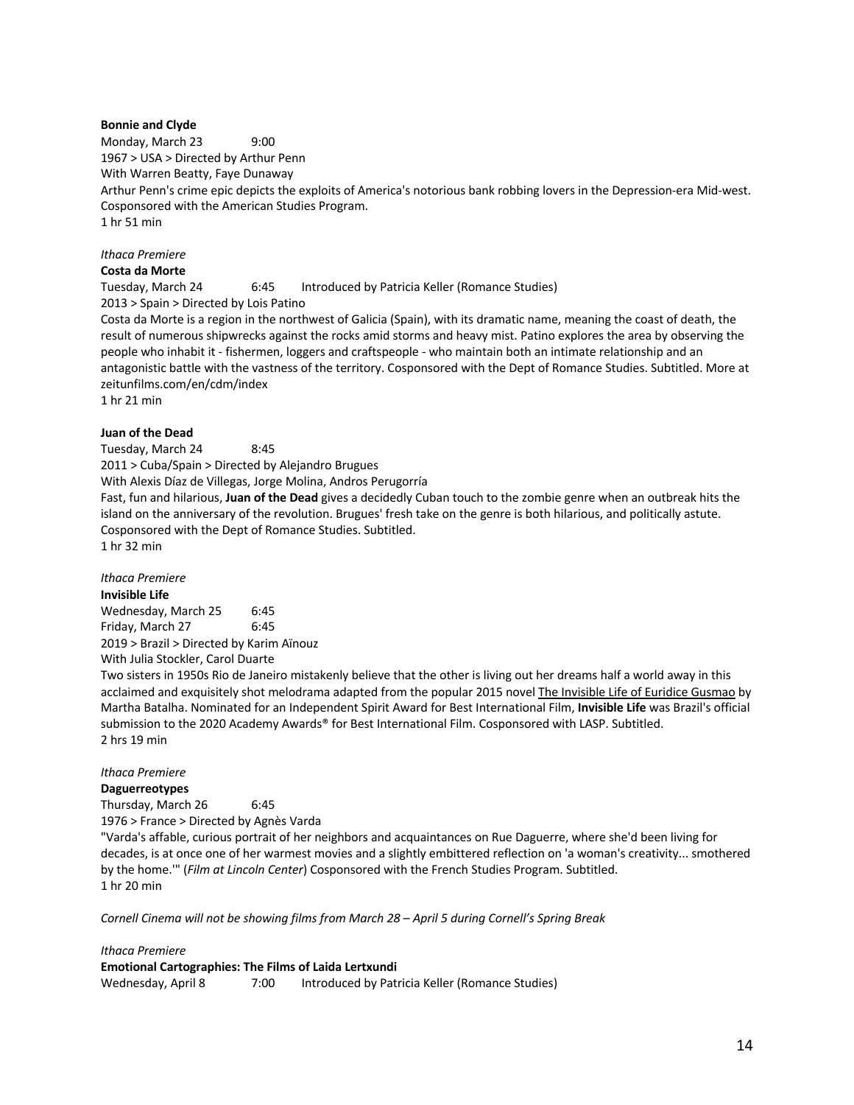### **Bonnie and Clyde**

Monday, March 23 9:00 1967 > USA > Directed by Arthur Penn With Warren Beatty, Faye Dunaway Arthur Penn's crime epic depicts the exploits of America's notorious bank robbing lovers in the Depression-era Mid-west. Cosponsored with the American Studies Program. 1 hr 51 min

# *Ithaca Premiere*

# **Costa da Morte**

Tuesday, March 24 6:45 Introduced by Patricia Keller (Romance Studies) 2013 > Spain > Directed by Lois Patino

Costa da Morte is a region in the northwest of Galicia (Spain), with its dramatic name, meaning the coast of death, the result of numerous shipwrecks against the rocks amid storms and heavy mist. Patino explores the area by observing the people who inhabit it - fishermen, loggers and craftspeople - who maintain both an intimate relationship and an antagonistic battle with the vastness of the territory. Cosponsored with the Dept of Romance Studies. Subtitled. More at zeitunfilms.com/en/cdm/index

1 hr 21 min

### **Juan of the Dead**

Tuesday, March 24 8:45 2011 > Cuba/Spain > Directed by Alejandro Brugues With Alexis Díaz de Villegas, Jorge Molina, Andros Perugorría Fast, fun and hilarious, **Juan of the Dead** gives a decidedly Cuban touch to the zombie genre when an outbreak hits the island on the anniversary of the revolution. Brugues' fresh take on the genre is both hilarious, and politically astute. Cosponsored with the Dept of Romance Studies. Subtitled. 1 hr 32 min

# *Ithaca Premiere*

**Invisible Life** Wednesday, March 25 6:45 Friday, March 27 6:45 2019 > Brazil > Directed by Karim Aïnouz With Julia Stockler, Carol Duarte

Two sisters in 1950s Rio de Janeiro mistakenly believe that the other is living out her dreams half a world away in this acclaimed and exquisitely shot melodrama adapted from the popular 2015 novel The Invisible Life of Euridice Gusmao by Martha Batalha. Nominated for an Independent Spirit Award for Best International Film, **Invisible Life** was Brazil's official submission to the 2020 Academy Awards® for Best International Film. Cosponsored with LASP. Subtitled. 2 hrs 19 min

#### *Ithaca Premiere*

**Daguerreotypes**

Thursday, March 26 6:45 1976 > France > Directed by Agnès Varda

"Varda's affable, curious portrait of her neighbors and acquaintances on Rue Daguerre, where she'd been living for decades, is at once one of her warmest movies and a slightly embittered reflection on 'a woman's creativity... smothered by the home.'" (*Film at Lincoln Center*) Cosponsored with the French Studies Program. Subtitled. 1 hr 20 min

*Cornell Cinema will not be showing films from March 28 – April 5 during Cornell's Spring Break*

*Ithaca Premiere* **Emotional Cartographies: The Films of Laida Lertxundi** Wednesday, April 8 7:00 Introduced by Patricia Keller (Romance Studies)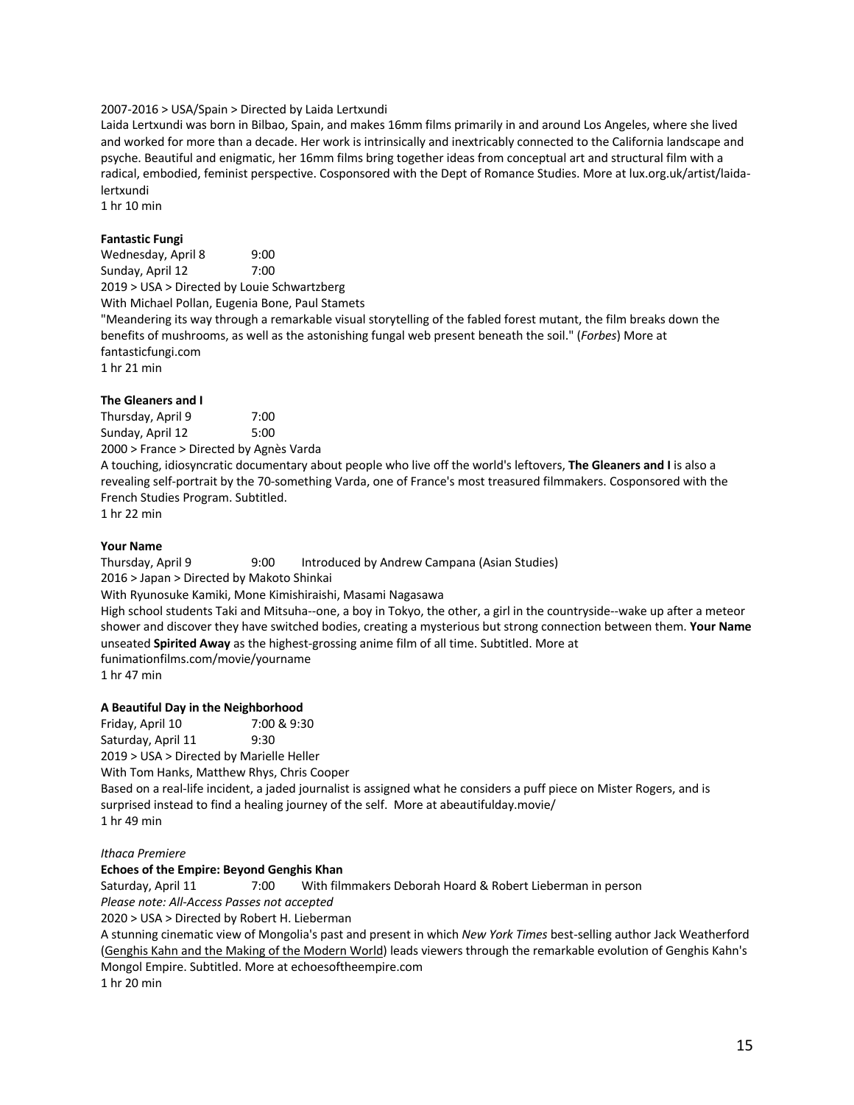## 2007-2016 > USA/Spain > Directed by Laida Lertxundi

Laida Lertxundi was born in Bilbao, Spain, and makes 16mm films primarily in and around Los Angeles, where she lived and worked for more than a decade. Her work is intrinsically and inextricably connected to the California landscape and psyche. Beautiful and enigmatic, her 16mm films bring together ideas from conceptual art and structural film with a radical, embodied, feminist perspective. Cosponsored with the Dept of Romance Studies. More at lux.org.uk/artist/laidalertxundi

1 hr 10 min

### **Fantastic Fungi**

Wednesday, April 8 9:00 Sunday, April 12 7:00 2019 > USA > Directed by Louie Schwartzberg With Michael Pollan, Eugenia Bone, Paul Stamets "Meandering its way through a remarkable visual storytelling of the fabled forest mutant, the film breaks down the benefits of mushrooms, as well as the astonishing fungal web present beneath the soil." (*Forbes*) More at fantasticfungi.com 1 hr 21 min

### **The Gleaners and I**

Thursday, April 9 7:00 Sunday, April 12 5:00 2000 > France > Directed by Agnès Varda

A touching, idiosyncratic documentary about people who live off the world's leftovers, **The Gleaners and I** is also a revealing self-portrait by the 70-something Varda, one of France's most treasured filmmakers. Cosponsored with the French Studies Program. Subtitled.

1 hr 22 min

### **Your Name**

Thursday, April 9 9:00 Introduced by Andrew Campana (Asian Studies) 2016 > Japan > Directed by Makoto Shinkai With Ryunosuke Kamiki, Mone Kimishiraishi, Masami Nagasawa High school students Taki and Mitsuha--one, a boy in Tokyo, the other, a girl in the countryside--wake up after a meteor shower and discover they have switched bodies, creating a mysterious but strong connection between them. **Your Name** unseated **Spirited Away** as the highest-grossing anime film of all time. Subtitled. More at funimationfilms.com/movie/yourname 1 hr 47 min

### **A Beautiful Day in the Neighborhood**

Friday, April 10 7:00 & 9:30 Saturday, April 11 9:30 2019 > USA > Directed by Marielle Heller With Tom Hanks, Matthew Rhys, Chris Cooper Based on a real-life incident, a jaded journalist is assigned what he considers a puff piece on Mister Rogers, and is surprised instead to find a healing journey of the self. More at abeautifulday.movie/ 1 hr 49 min

#### *Ithaca Premiere*

#### **Echoes of the Empire: Beyond Genghis Khan**

Saturday, April 11 7:00 With filmmakers Deborah Hoard & Robert Lieberman in person *Please note: All-Access Passes not accepted*

2020 > USA > Directed by Robert H. Lieberman

A stunning cinematic view of Mongolia's past and present in which *New York Times* best-selling author Jack Weatherford (Genghis Kahn and the Making of the Modern World) leads viewers through the remarkable evolution of Genghis Kahn's Mongol Empire. Subtitled. More at echoesoftheempire.com

1 hr 20 min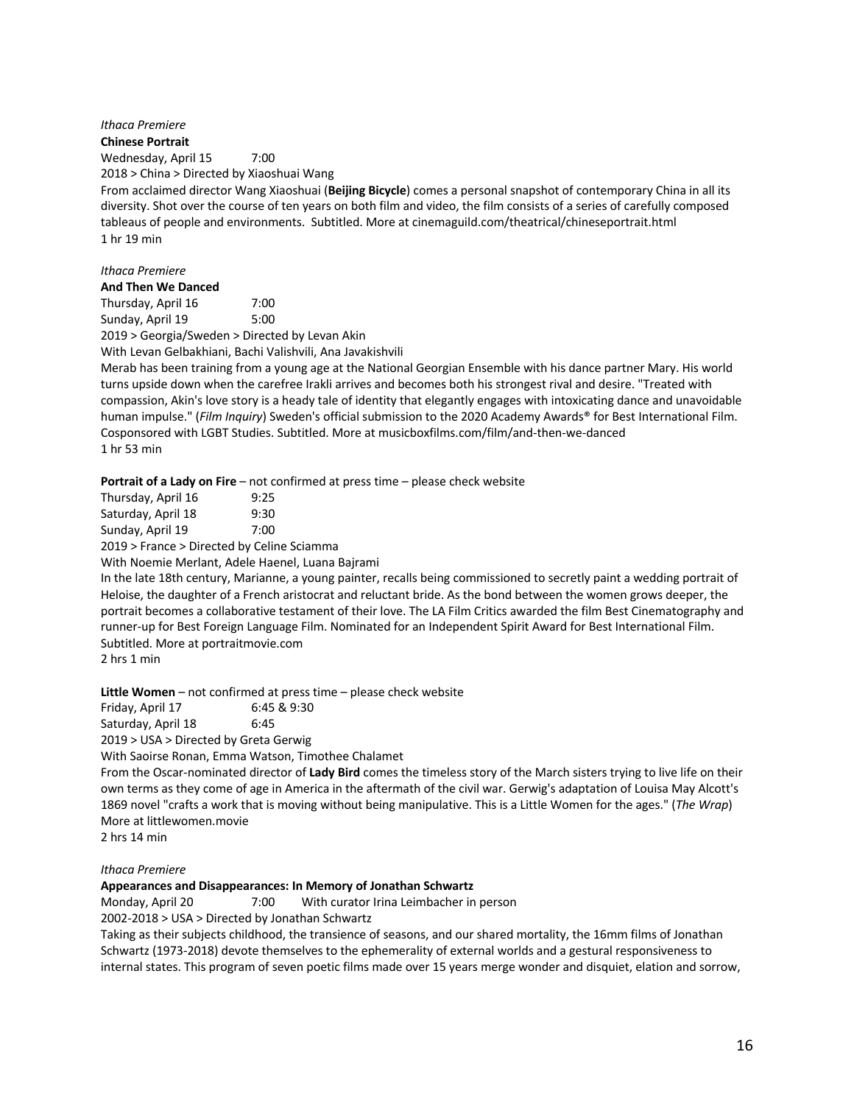*Ithaca Premiere* **Chinese Portrait** Wednesday, April 15 7:00 2018 > China > Directed by Xiaoshuai Wang

From acclaimed director Wang Xiaoshuai (**Beijing Bicycle**) comes a personal snapshot of contemporary China in all its diversity. Shot over the course of ten years on both film and video, the film consists of a series of carefully composed tableaus of people and environments. Subtitled. More at cinemaguild.com/theatrical/chineseportrait.html 1 hr 19 min

# *Ithaca Premiere*

**And Then We Danced**

Thursday, April 16 7:00 Sunday, April 19 5:00

2019 > Georgia/Sweden > Directed by Levan Akin

With Levan Gelbakhiani, Bachi Valishvili, Ana Javakishvili

Merab has been training from a young age at the National Georgian Ensemble with his dance partner Mary. His world turns upside down when the carefree Irakli arrives and becomes both his strongest rival and desire. "Treated with compassion, Akin's love story is a heady tale of identity that elegantly engages with intoxicating dance and unavoidable human impulse." (*Film Inquiry*) Sweden's official submission to the 2020 Academy Awards® for Best International Film. Cosponsored with LGBT Studies. Subtitled. More at musicboxfilms.com/film/and-then-we-danced 1 hr 53 min

**Portrait of a Lady on Fire** – not confirmed at press time – please check website

| Thursday, April 16 | 9:25 |
|--------------------|------|
| Saturday, April 18 | 9:30 |
| Sunday, April 19   | 7:00 |

2019 > France > Directed by Celine Sciamma

With Noemie Merlant, Adele Haenel, Luana Bajrami

In the late 18th century, Marianne, a young painter, recalls being commissioned to secretly paint a wedding portrait of Heloise, the daughter of a French aristocrat and reluctant bride. As the bond between the women grows deeper, the portrait becomes a collaborative testament of their love. The LA Film Critics awarded the film Best Cinematography and runner-up for Best Foreign Language Film. Nominated for an Independent Spirit Award for Best International Film. Subtitled. More at portraitmovie.com

2 hrs 1 min

**Little Women** – not confirmed at press time – please check website

Friday, April 17 6:45 & 9:30 Saturday, April 18 6:45

2019 > USA > Directed by Greta Gerwig

With Saoirse Ronan, Emma Watson, Timothee Chalamet

From the Oscar-nominated director of **Lady Bird** comes the timeless story of the March sisters trying to live life on their own terms as they come of age in America in the aftermath of the civil war. Gerwig's adaptation of Louisa May Alcott's 1869 novel "crafts a work that is moving without being manipulative. This is a Little Women for the ages." (*The Wrap*) More at littlewomen.movie

2 hrs 14 min

### *Ithaca Premiere*

### **Appearances and Disappearances: In Memory of Jonathan Schwartz**

Monday, April 20 7:00 With curator Irina Leimbacher in person

2002-2018 > USA > Directed by Jonathan Schwartz

Taking as their subjects childhood, the transience of seasons, and our shared mortality, the 16mm films of Jonathan Schwartz (1973-2018) devote themselves to the ephemerality of external worlds and a gestural responsiveness to internal states. This program of seven poetic films made over 15 years merge wonder and disquiet, elation and sorrow,